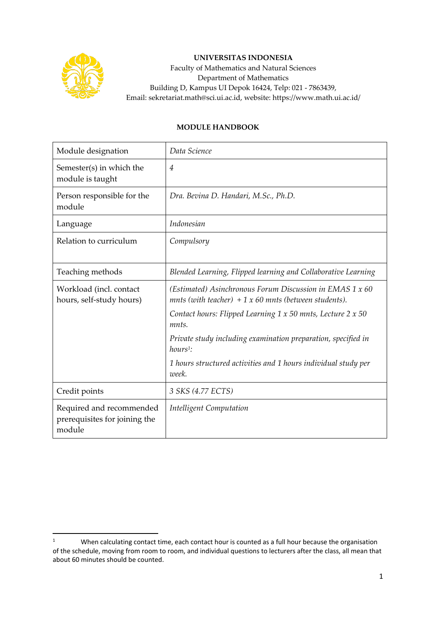

## **UNIVERSITAS INDONESIA**

Faculty of Mathematics and Natural Sciences Department of Mathematics Building D, Kampus UI Depok 16424, Telp: 021 - 7863439, Email: sekretariat.math@sci.ui.ac.id, website: https://www.math.ui.ac.id/

## **MODULE HANDBOOK**

| Module designation                                                  | Data Science                                                                                                       |
|---------------------------------------------------------------------|--------------------------------------------------------------------------------------------------------------------|
| Semester(s) in which the<br>module is taught                        | $\overline{4}$                                                                                                     |
| Person responsible for the<br>module                                | Dra. Bevina D. Handari, M.Sc., Ph.D.                                                                               |
| Language                                                            | <i>Indonesian</i>                                                                                                  |
| Relation to curriculum                                              | Compulsory                                                                                                         |
| Teaching methods                                                    | Blended Learning, Flipped learning and Collaborative Learning                                                      |
| Workload (incl. contact<br>hours, self-study hours)                 | (Estimated) Asinchronous Forum Discussion in EMAS 1 x 60<br>mnts (with teacher) $+1 x 60$ mnts (between students). |
|                                                                     | Contact hours: Flipped Learning $1 \times 50$ mnts, Lecture $2 \times 50$<br>mnts.                                 |
|                                                                     | Private study including examination preparation, specified in<br>$hours1$ :                                        |
|                                                                     | 1 hours structured activities and 1 hours individual study per<br>week.                                            |
| Credit points                                                       | 3 SKS (4.77 ECTS)                                                                                                  |
| Required and recommended<br>prerequisites for joining the<br>module | Intelligent Computation                                                                                            |

<sup>&</sup>lt;sup>1</sup> When calculating contact time, each contact hour is counted as a full hour because the organisation of the schedule, moving from room to room, and individual questions to lecturers after the class, all mean that about 60 minutes should be counted.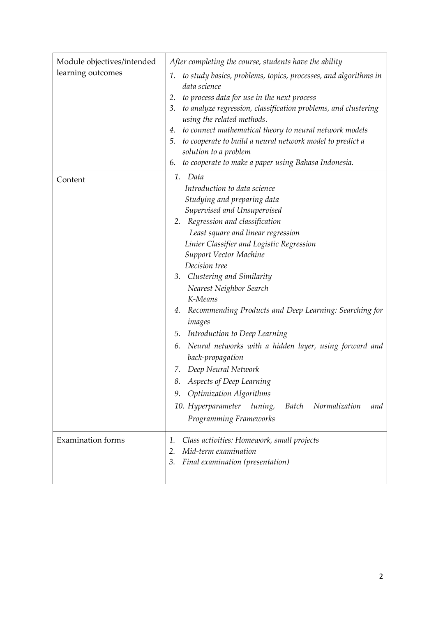| to study basics, problems, topics, processes, and algorithms in<br>1.<br>data science<br>to process data for use in the next process<br>2.<br>to analyze regression, classification problems, and clustering<br>3.<br>using the related methods.<br>to connect mathematical theory to neural network models<br>4.<br>5. to cooperate to build a neural network model to predict a<br>solution to a problem<br>to cooperate to make a paper using Bahasa Indonesia.<br>6.<br>1. Data<br>Content<br>Introduction to data science<br>Studying and preparing data<br>Supervised and Unsupervised<br>Regression and classification<br>2.<br>Least square and linear regression<br>Linier Classifier and Logistic Regression<br><b>Support Vector Machine</b><br>Decision tree<br>Clustering and Similarity<br>3.<br>Nearest Neighbor Search<br>K-Means<br>Recommending Products and Deep Learning: Searching for<br>4.<br>images<br>Introduction to Deep Learning<br>5.<br>Neural networks with a hidden layer, using forward and<br>6.<br>back-propagation<br>Deep Neural Network<br>7.<br>Aspects of Deep Learning<br><b>Optimization Algorithms</b><br>9.<br>10. Hyperparameter<br>Normalization<br>tuning,<br><b>Batch</b><br>and<br>Programming Frameworks<br><b>Examination</b> forms<br>1.<br>Class activities: Homework, small projects<br>Mid-term examination<br>2. | Module objectives/intended<br>learning outcomes | After completing the course, students have the ability |
|--------------------------------------------------------------------------------------------------------------------------------------------------------------------------------------------------------------------------------------------------------------------------------------------------------------------------------------------------------------------------------------------------------------------------------------------------------------------------------------------------------------------------------------------------------------------------------------------------------------------------------------------------------------------------------------------------------------------------------------------------------------------------------------------------------------------------------------------------------------------------------------------------------------------------------------------------------------------------------------------------------------------------------------------------------------------------------------------------------------------------------------------------------------------------------------------------------------------------------------------------------------------------------------------------------------------------------------------------------------------------|-------------------------------------------------|--------------------------------------------------------|
|                                                                                                                                                                                                                                                                                                                                                                                                                                                                                                                                                                                                                                                                                                                                                                                                                                                                                                                                                                                                                                                                                                                                                                                                                                                                                                                                                                          |                                                 |                                                        |
|                                                                                                                                                                                                                                                                                                                                                                                                                                                                                                                                                                                                                                                                                                                                                                                                                                                                                                                                                                                                                                                                                                                                                                                                                                                                                                                                                                          |                                                 |                                                        |
|                                                                                                                                                                                                                                                                                                                                                                                                                                                                                                                                                                                                                                                                                                                                                                                                                                                                                                                                                                                                                                                                                                                                                                                                                                                                                                                                                                          |                                                 |                                                        |
|                                                                                                                                                                                                                                                                                                                                                                                                                                                                                                                                                                                                                                                                                                                                                                                                                                                                                                                                                                                                                                                                                                                                                                                                                                                                                                                                                                          |                                                 |                                                        |
|                                                                                                                                                                                                                                                                                                                                                                                                                                                                                                                                                                                                                                                                                                                                                                                                                                                                                                                                                                                                                                                                                                                                                                                                                                                                                                                                                                          |                                                 |                                                        |
|                                                                                                                                                                                                                                                                                                                                                                                                                                                                                                                                                                                                                                                                                                                                                                                                                                                                                                                                                                                                                                                                                                                                                                                                                                                                                                                                                                          |                                                 |                                                        |
|                                                                                                                                                                                                                                                                                                                                                                                                                                                                                                                                                                                                                                                                                                                                                                                                                                                                                                                                                                                                                                                                                                                                                                                                                                                                                                                                                                          |                                                 |                                                        |
|                                                                                                                                                                                                                                                                                                                                                                                                                                                                                                                                                                                                                                                                                                                                                                                                                                                                                                                                                                                                                                                                                                                                                                                                                                                                                                                                                                          |                                                 |                                                        |
|                                                                                                                                                                                                                                                                                                                                                                                                                                                                                                                                                                                                                                                                                                                                                                                                                                                                                                                                                                                                                                                                                                                                                                                                                                                                                                                                                                          |                                                 |                                                        |
|                                                                                                                                                                                                                                                                                                                                                                                                                                                                                                                                                                                                                                                                                                                                                                                                                                                                                                                                                                                                                                                                                                                                                                                                                                                                                                                                                                          |                                                 |                                                        |
|                                                                                                                                                                                                                                                                                                                                                                                                                                                                                                                                                                                                                                                                                                                                                                                                                                                                                                                                                                                                                                                                                                                                                                                                                                                                                                                                                                          |                                                 |                                                        |
|                                                                                                                                                                                                                                                                                                                                                                                                                                                                                                                                                                                                                                                                                                                                                                                                                                                                                                                                                                                                                                                                                                                                                                                                                                                                                                                                                                          |                                                 |                                                        |
|                                                                                                                                                                                                                                                                                                                                                                                                                                                                                                                                                                                                                                                                                                                                                                                                                                                                                                                                                                                                                                                                                                                                                                                                                                                                                                                                                                          |                                                 |                                                        |
|                                                                                                                                                                                                                                                                                                                                                                                                                                                                                                                                                                                                                                                                                                                                                                                                                                                                                                                                                                                                                                                                                                                                                                                                                                                                                                                                                                          |                                                 |                                                        |
|                                                                                                                                                                                                                                                                                                                                                                                                                                                                                                                                                                                                                                                                                                                                                                                                                                                                                                                                                                                                                                                                                                                                                                                                                                                                                                                                                                          |                                                 |                                                        |
|                                                                                                                                                                                                                                                                                                                                                                                                                                                                                                                                                                                                                                                                                                                                                                                                                                                                                                                                                                                                                                                                                                                                                                                                                                                                                                                                                                          |                                                 |                                                        |
|                                                                                                                                                                                                                                                                                                                                                                                                                                                                                                                                                                                                                                                                                                                                                                                                                                                                                                                                                                                                                                                                                                                                                                                                                                                                                                                                                                          |                                                 |                                                        |
|                                                                                                                                                                                                                                                                                                                                                                                                                                                                                                                                                                                                                                                                                                                                                                                                                                                                                                                                                                                                                                                                                                                                                                                                                                                                                                                                                                          |                                                 |                                                        |
|                                                                                                                                                                                                                                                                                                                                                                                                                                                                                                                                                                                                                                                                                                                                                                                                                                                                                                                                                                                                                                                                                                                                                                                                                                                                                                                                                                          |                                                 |                                                        |
|                                                                                                                                                                                                                                                                                                                                                                                                                                                                                                                                                                                                                                                                                                                                                                                                                                                                                                                                                                                                                                                                                                                                                                                                                                                                                                                                                                          |                                                 |                                                        |
|                                                                                                                                                                                                                                                                                                                                                                                                                                                                                                                                                                                                                                                                                                                                                                                                                                                                                                                                                                                                                                                                                                                                                                                                                                                                                                                                                                          |                                                 |                                                        |
|                                                                                                                                                                                                                                                                                                                                                                                                                                                                                                                                                                                                                                                                                                                                                                                                                                                                                                                                                                                                                                                                                                                                                                                                                                                                                                                                                                          |                                                 |                                                        |
|                                                                                                                                                                                                                                                                                                                                                                                                                                                                                                                                                                                                                                                                                                                                                                                                                                                                                                                                                                                                                                                                                                                                                                                                                                                                                                                                                                          |                                                 |                                                        |
|                                                                                                                                                                                                                                                                                                                                                                                                                                                                                                                                                                                                                                                                                                                                                                                                                                                                                                                                                                                                                                                                                                                                                                                                                                                                                                                                                                          |                                                 |                                                        |
|                                                                                                                                                                                                                                                                                                                                                                                                                                                                                                                                                                                                                                                                                                                                                                                                                                                                                                                                                                                                                                                                                                                                                                                                                                                                                                                                                                          |                                                 |                                                        |
|                                                                                                                                                                                                                                                                                                                                                                                                                                                                                                                                                                                                                                                                                                                                                                                                                                                                                                                                                                                                                                                                                                                                                                                                                                                                                                                                                                          |                                                 |                                                        |
|                                                                                                                                                                                                                                                                                                                                                                                                                                                                                                                                                                                                                                                                                                                                                                                                                                                                                                                                                                                                                                                                                                                                                                                                                                                                                                                                                                          |                                                 |                                                        |
|                                                                                                                                                                                                                                                                                                                                                                                                                                                                                                                                                                                                                                                                                                                                                                                                                                                                                                                                                                                                                                                                                                                                                                                                                                                                                                                                                                          |                                                 |                                                        |
|                                                                                                                                                                                                                                                                                                                                                                                                                                                                                                                                                                                                                                                                                                                                                                                                                                                                                                                                                                                                                                                                                                                                                                                                                                                                                                                                                                          |                                                 |                                                        |
|                                                                                                                                                                                                                                                                                                                                                                                                                                                                                                                                                                                                                                                                                                                                                                                                                                                                                                                                                                                                                                                                                                                                                                                                                                                                                                                                                                          |                                                 |                                                        |
|                                                                                                                                                                                                                                                                                                                                                                                                                                                                                                                                                                                                                                                                                                                                                                                                                                                                                                                                                                                                                                                                                                                                                                                                                                                                                                                                                                          |                                                 |                                                        |
| Final examination (presentation)<br>3.                                                                                                                                                                                                                                                                                                                                                                                                                                                                                                                                                                                                                                                                                                                                                                                                                                                                                                                                                                                                                                                                                                                                                                                                                                                                                                                                   |                                                 |                                                        |
|                                                                                                                                                                                                                                                                                                                                                                                                                                                                                                                                                                                                                                                                                                                                                                                                                                                                                                                                                                                                                                                                                                                                                                                                                                                                                                                                                                          |                                                 |                                                        |